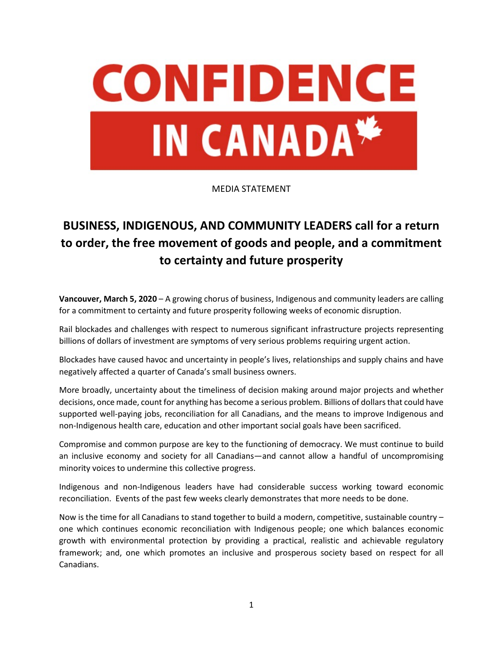

## MEDIA STATEMENT

## **BUSINESS, INDIGENOUS, AND COMMUNITY LEADERS call for a return to order, the free movement of goods and people, and a commitment to certainty and future prosperity**

**Vancouver, March 5, 2020** – A growing chorus of business, Indigenous and community leaders are calling for a commitment to certainty and future prosperity following weeks of economic disruption.

Rail blockades and challenges with respect to numerous significant infrastructure projects representing billions of dollars of investment are symptoms of very serious problems requiring urgent action.

Blockades have caused havoc and uncertainty in people's lives, relationships and supply chains and have negatively affected a quarter of Canada's small business owners.

More broadly, uncertainty about the timeliness of decision making around major projects and whether decisions, once made, count for anything has become a serious problem. Billions of dollars that could have supported well-paying jobs, reconciliation for all Canadians, and the means to improve Indigenous and non-Indigenous health care, education and other important social goals have been sacrificed.

Compromise and common purpose are key to the functioning of democracy. We must continue to build an inclusive economy and society for all Canadians—and cannot allow a handful of uncompromising minority voices to undermine this collective progress.

Indigenous and non-Indigenous leaders have had considerable success working toward economic reconciliation. Events of the past few weeks clearly demonstrates that more needs to be done.

Now is the time for all Canadians to stand together to build a modern, competitive, sustainable country – one which continues economic reconciliation with Indigenous people; one which balances economic growth with environmental protection by providing a practical, realistic and achievable regulatory framework; and, one which promotes an inclusive and prosperous society based on respect for all Canadians.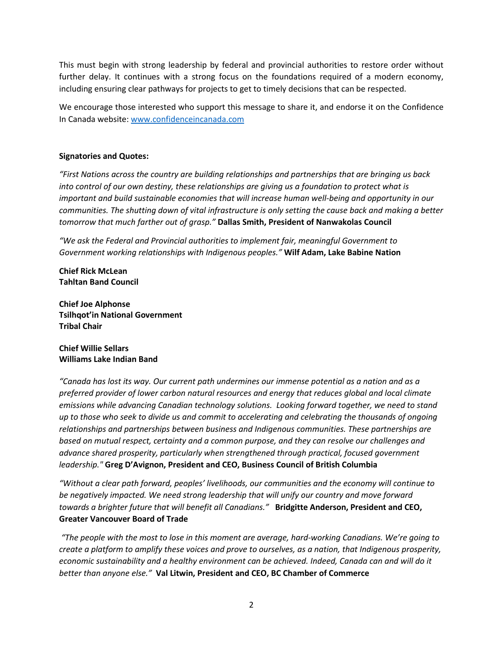This must begin with strong leadership by federal and provincial authorities to restore order without further delay. It continues with a strong focus on the foundations required of a modern economy, including ensuring clear pathways for projects to get to timely decisions that can be respected.

We encourage those interested who support this message to share it, and endorse it on the Confidence In Canada website: [www.confidenceincanada.com](http://www.confidenceincanada.com/)

## **Signatories and Quotes:**

*"First Nations across the country are building relationships and partnerships that are bringing us back into control of our own destiny, these relationships are giving us a foundation to protect what is important and build sustainable economies that will increase human well-being and opportunity in our communities. The shutting down of vital infrastructure is only setting the cause back and making a better tomorrow that much farther out of grasp."* **Dallas Smith, President of Nanwakolas Council**

*"We ask the Federal and Provincial authorities to implement fair, meaningful Government to Government working relationships with Indigenous peoples."* **Wilf Adam, Lake Babine Nation**

**Chief Rick McLean Tahltan Band Council**

**Chief Joe Alphonse Tsilhqot'in National Government Tribal Chair**

## **Chief Willie Sellars Williams Lake Indian Band**

*"Canada has lost its way. Our current path undermines our immense potential as a nation and as a preferred provider of lower carbon natural resources and energy that reduces global and local climate emissions while advancing Canadian technology solutions. Looking forward together, we need to stand up to those who seek to divide us and commit to accelerating and celebrating the thousands of ongoing relationships and partnerships between business and Indigenous communities. These partnerships are based on mutual respect, certainty and a common purpose, and they can resolve our challenges and advance shared prosperity, particularly when strengthened through practical, focused government leadership."* **Greg D'Avignon, President and CEO, Business Council of British Columbia**

*"Without a clear path forward, peoples' livelihoods, our communities and the economy will continue to be negatively impacted. We need strong leadership that will unify our country and move forward towards a brighter future that will benefit all Canadians."* **Bridgitte Anderson, President and CEO, Greater Vancouver Board of Trade**

*"The people with the most to lose in this moment are average, hard-working Canadians. We're going to create a platform to amplify these voices and prove to ourselves, as a nation, that Indigenous prosperity, economic sustainability and a healthy environment can be achieved. Indeed, Canada can and will do it better than anyone else."* **Val Litwin, President and CEO, BC Chamber of Commerce**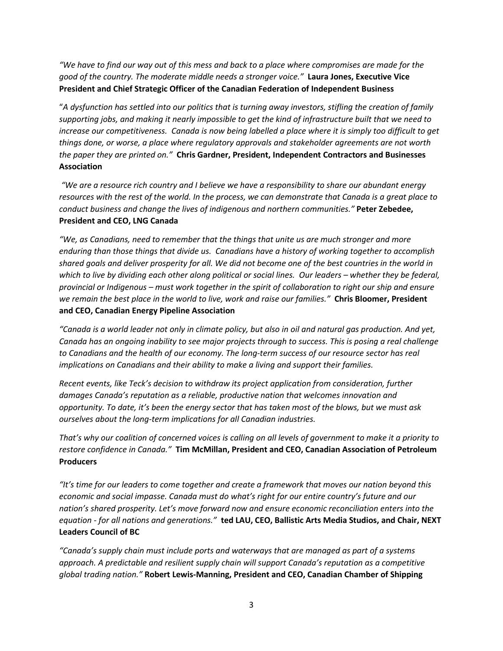*"We have to find our way out of this mess and back to a place where compromises are made for the good of the country. The moderate middle needs a stronger voice."* **Laura Jones, Executive Vice President and Chief Strategic Officer of the Canadian Federation of Independent Business**

"*A dysfunction has settled into our politics that is turning away investors, stifling the creation of family supporting jobs, and making it nearly impossible to get the kind of infrastructure built that we need to increase our competitiveness. Canada is now being labelled a place where it is simply too difficult to get things done, or worse, a place where regulatory approvals and stakeholder agreements are not worth the paper they are printed on."* **Chris Gardner, President, Independent Contractors and Businesses Association**

*"We are a resource rich country and I believe we have a responsibility to share our abundant energy resources with the rest of the world. In the process, we can demonstrate that Canada is a great place to conduct business and change the lives of indigenous and northern communities."* **Peter Zebedee, President and CEO, LNG Canada**

*"We, as Canadians, need to remember that the things that unite us are much stronger and more enduring than those things that divide us. Canadians have a history of working together to accomplish shared goals and deliver prosperity for all. We did not become one of the best countries in the world in which to live by dividing each other along political or social lines. Our leaders – whether they be federal, provincial or Indigenous – must work together in the spirit of collaboration to right our ship and ensure we remain the best place in the world to live, work and raise our families."* **Chris Bloomer, President and CEO, Canadian Energy Pipeline Association**

*"Canada is a world leader not only in climate policy, but also in oil and natural gas production. And yet, Canada has an ongoing inability to see major projects through to success. This is posing a real challenge to Canadians and the health of our economy. The long-term success of our resource sector has real implications on Canadians and their ability to make a living and support their families.*

*Recent events, like Teck's decision to withdraw its project application from consideration, further damages Canada's reputation as a reliable, productive nation that welcomes innovation and opportunity. To date, it's been the energy sector that has taken most of the blows, but we must ask ourselves about the long-term implications for all Canadian industries.*

*That's why our coalition of concerned voices is calling on all levels of government to make it a priority to restore confidence in Canada."* **Tim McMillan, President and CEO, Canadian Association of Petroleum Producers**

*"It's time for our leaders to come together and create a framework that moves our nation beyond this economic and social impasse. Canada must do what's right for our entire country's future and our nation's shared prosperity. Let's move forward now and ensure economic reconciliation enters into the equation - for all nations and generations."* **ted LAU, CEO, Ballistic Arts Media Studios, and Chair, NEXT Leaders Council of BC**

*"Canada's supply chain must include ports and waterways that are managed as part of a systems approach. A predictable and resilient supply chain will support Canada's reputation as a competitive global trading nation."* **Robert Lewis-Manning, President and CEO, Canadian Chamber of Shipping**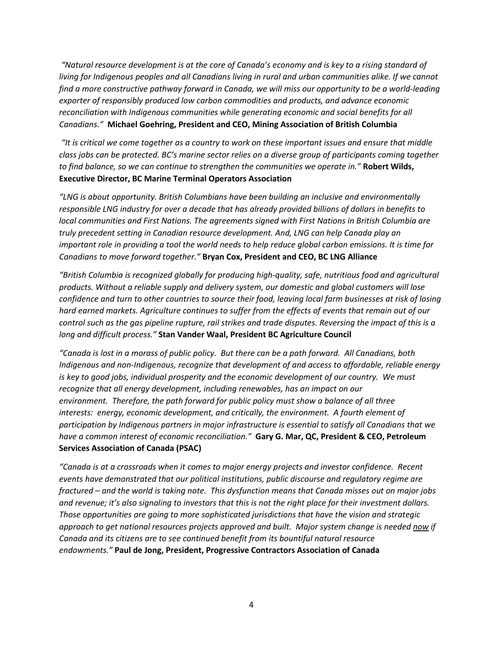*"Natural resource development is at the core of Canada's economy and is key to a rising standard of living for Indigenous peoples and all Canadians living in rural and urban communities alike. If we cannot find a more constructive pathway forward in Canada, we will miss our opportunity to be a world-leading exporter of responsibly produced low carbon commodities and products, and advance economic reconciliation with Indigenous communities while generating economic and social benefits for all Canadians."* **Michael Goehring, President and CEO, Mining Association of British Columbia**

*"It is critical we come together as a country to work on these important issues and ensure that middle class jobs can be protected. BC's marine sector relies on a diverse group of participants coming together to find balance, so we can continue to strengthen the communities we operate in."* **Robert Wilds, Executive Director, BC Marine Terminal Operators Association**

*"LNG is about opportunity. British Columbians have been building an inclusive and environmentally responsible LNG industry for over a decade that has already provided billions of dollars in benefits to local communities and First Nations. The agreements signed with First Nations in British Columbia are truly precedent setting in Canadian resource development. And, LNG can help Canada play an important role in providing a tool the world needs to help reduce global carbon emissions. It is time for Canadians to move forward together."* **Bryan Cox, President and CEO, BC LNG Alliance**

*"British Columbia is recognized globally for producing high-quality, safe, nutritious food and agricultural products. Without a reliable supply and delivery system, our domestic and global customers will lose confidence and turn to other countries to source their food, leaving local farm businesses at risk of losing hard earned markets. Agriculture continues to suffer from the effects of events that remain out of our control such as the gas pipeline rupture, rail strikes and trade disputes. Reversing the impact of this is a long and difficult process."* **Stan Vander Waal, President BC Agriculture Council** 

*"Canada is lost in a morass of public policy. But there can be a path forward. All Canadians, both Indigenous and non-Indigenous, recognize that development of and access to affordable, reliable energy is key to good jobs, individual prosperity and the economic development of our country. We must recognize that all energy development, including renewables, has an impact on our environment. Therefore, the path forward for public policy must show a balance of all three interests: energy, economic development, and critically, the environment. A fourth element of participation by Indigenous partners in major infrastructure is essential to satisfy all Canadians that we have a common interest of economic reconciliation."* **Gary G. Mar, QC, President & CEO, Petroleum Services Association of Canada (PSAC)**

*"Canada is at a crossroads when it comes to major energy projects and investor confidence. Recent events have demonstrated that our political institutions, public discourse and regulatory regime are fractured – and the world is taking note. This dysfunction means that Canada misses out on major jobs and revenue; it's also signaling to investors that this is not the right place for their investment dollars. Those opportunities are going to more sophisticated jurisdictions that have the vision and strategic approach to get national resources projects approved and built. Major system change is needed now if Canada and its citizens are to see continued benefit from its bountiful natural resource endowments."* **Paul de Jong, President, Progressive Contractors Association of Canada**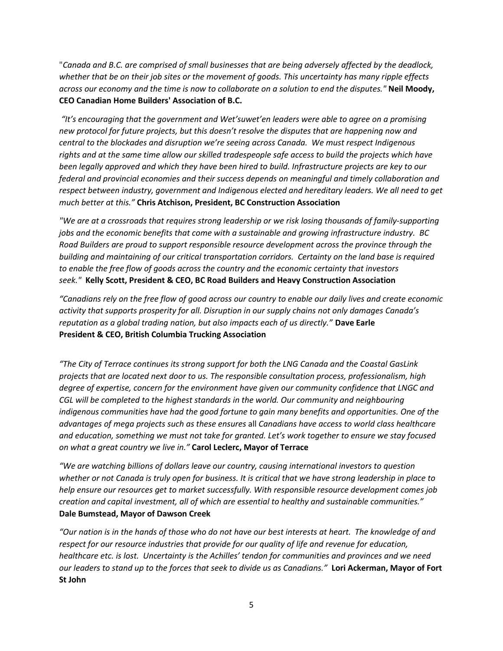"*Canada and B.C. are comprised of small businesses that are being adversely affected by the deadlock, whether that be on their job sites or the movement of goods. This uncertainty has many ripple effects across our economy and the time is now to collaborate on a solution to end the disputes."* **Neil Moody, CEO Canadian Home Builders' Association of B.C.**

*"It's encouraging that the government and Wet'suwet'en leaders were able to agree on a promising new protocol for future projects, but this doesn't resolve the disputes that are happening now and central to the blockades and disruption we're seeing across Canada. We must respect Indigenous rights and at the same time allow our skilled tradespeople safe access to build the projects which have been legally approved and which they have been hired to build. Infrastructure projects are key to our federal and provincial economies and their success depends on meaningful and timely collaboration and respect between industry, government and Indigenous elected and hereditary leaders. We all need to get much better at this."* **Chris Atchison, President, BC Construction Association**

*"We are at a crossroads that requires strong leadership or we risk losing thousands of family-supporting jobs and the economic benefits that come with a sustainable and growing infrastructure industry. BC Road Builders are proud to support responsible resource development across the province through the building and maintaining of our critical transportation corridors. Certainty on the land base is required to enable the free flow of goods across the country and the economic certainty that investors seek."* **Kelly Scott, President & CEO, BC Road Builders and Heavy Construction Association**

*"Canadians rely on the free flow of good across our country to enable our daily lives and create economic activity that supports prosperity for all. Disruption in our supply chains not only damages Canada's reputation as a global trading nation, but also impacts each of us directly."* **Dave Earle President & CEO, British Columbia Trucking Association**

*"The City of Terrace continues its strong support for both the LNG Canada and the Coastal GasLink projects that are located next door to us. The responsible consultation process, professionalism, high degree of expertise, concern for the environment have given our community confidence that LNGC and CGL will be completed to the highest standards in the world. Our community and neighbouring indigenous communities have had the good fortune to gain many benefits and opportunities. One of the advantages of mega projects such as these ensures* all *Canadians have access to world class healthcare and education, something we must not take for granted. Let's work together to ensure we stay focused on what a great country we live in."* **Carol Leclerc, Mayor of Terrace**

*"We are watching billions of dollars leave our country, causing international investors to question whether or not Canada is truly open for business. It is critical that we have strong leadership in place to help ensure our resources get to market successfully. With responsible resource development comes job creation and capital investment, all of which are essential to healthy and sustainable communities."*  **Dale Bumstead, Mayor of Dawson Creek**

*"Our nation is in the hands of those who do not have our best interests at heart. The knowledge of and respect for our resource industries that provide for our quality of life and revenue for education, healthcare etc. is lost. Uncertainty is the Achilles' tendon for communities and provinces and we need our leaders to stand up to the forces that seek to divide us as Canadians."* **Lori Ackerman, Mayor of Fort St John**